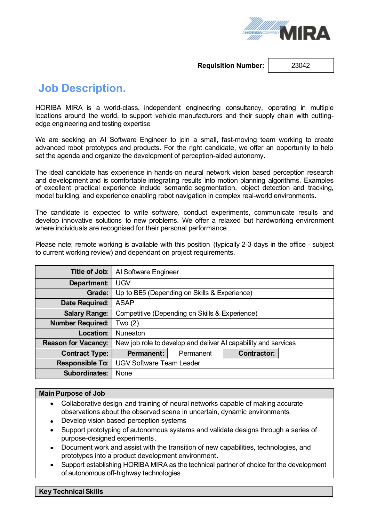

**Requisition Number:** 23042

# **Job Description.**

HORIBA MIRA is a world-class, independent engineering consultancy, operating in multiple locations around the world, to support vehicle manufacturers and their supply chain with cuttingedge engineering and testing expertise

We are seeking an AI Software Engineer to join a small, fast-moving team working to create advanced robot prototypes and products. For the right candidate, we offer an opportunity to help set the agenda and organize the development of perception-aided autonomy.

The ideal candidate has experience in hands-on neural network vision based perception research and development and is comfortable integrating results into motion planning algorithms. Examples of excellent practical experience include semantic segmentation, object detection and tracking, model building, and experience enabling robot navigation in complex real-world environments.

The candidate is expected to write software, conduct experiments, communicate results and develop innovative solutions to new problems. We offer a relaxed but hardworking environment where individuals are recognised for their personal performance.

Please note; remote working is available with this position (typically 2-3 days in the office - subject to current working review) and dependant on project requirements.

| Title of Job:              | Al Software Engineer                                           |           |                    |  |  |  |
|----------------------------|----------------------------------------------------------------|-----------|--------------------|--|--|--|
| <b>Department</b>          | <b>UGV</b>                                                     |           |                    |  |  |  |
| Grade:                     | Up to BB5 (Depending on Skills & Experience)                   |           |                    |  |  |  |
| Date Required:             | <b>ASAP</b>                                                    |           |                    |  |  |  |
| <b>Salary Range:</b>       | Competitive (Depending on Skills & Experience)                 |           |                    |  |  |  |
| <b>Number Required:</b>    | Two (2)                                                        |           |                    |  |  |  |
| Location:                  | <b>Nuneaton</b>                                                |           |                    |  |  |  |
| <b>Reason for Vacancy:</b> | New job role to develop and deliver AI capability and services |           |                    |  |  |  |
| <b>Contract Type:</b>      | <b>Permanent:</b>                                              | Permanent | <b>Contractor:</b> |  |  |  |
| <b>Responsible To:</b>     | <b>UGV Software Team Leader</b>                                |           |                    |  |  |  |
| <b>Subordinates:</b>       | None                                                           |           |                    |  |  |  |

## **Main Purpose of Job**

- · Collaborative design and training of neural networks capable of making accurate observations about the observed scene in uncertain, dynamic environments.
- Develop vision based perception systems
- Support prototyping of autonomous systems and validate designs through a series of purpose-designed experiments .
- · Document work and assist with the transition of new capabilities, technologies, and prototypes into a product development environment.
- · Support establishing HORIBA MIRA as the technical partner of choice for the development of autonomous off-highway technologies.

#### **Key Technical Skills**